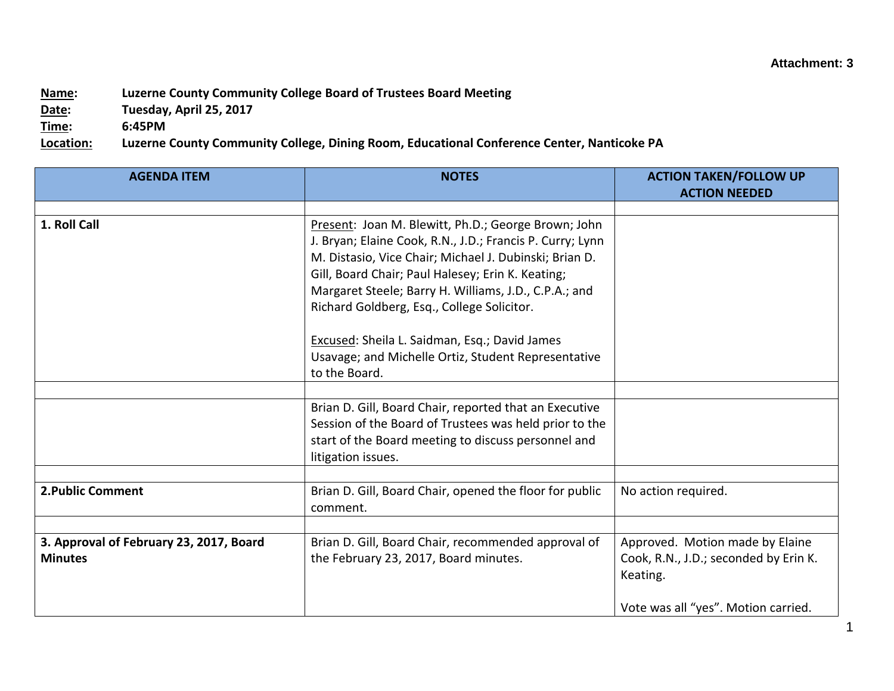## **Name: Luzerne County Community College Board of Trustees Board Meeting**

**Date: Tuesday, April 25, 2017**

**Time: 6:45PM**

**Location: Luzerne County Community College, Dining Room, Educational Conference Center, Nanticoke PA**

| <b>AGENDA ITEM</b>                                        | <b>NOTES</b>                                                                                                                                                                                                                                                                                                                           | <b>ACTION TAKEN/FOLLOW UP</b><br><b>ACTION NEEDED</b>                                                                       |
|-----------------------------------------------------------|----------------------------------------------------------------------------------------------------------------------------------------------------------------------------------------------------------------------------------------------------------------------------------------------------------------------------------------|-----------------------------------------------------------------------------------------------------------------------------|
|                                                           |                                                                                                                                                                                                                                                                                                                                        |                                                                                                                             |
| 1. Roll Call                                              | Present: Joan M. Blewitt, Ph.D.; George Brown; John<br>J. Bryan; Elaine Cook, R.N., J.D.; Francis P. Curry; Lynn<br>M. Distasio, Vice Chair; Michael J. Dubinski; Brian D.<br>Gill, Board Chair; Paul Halesey; Erin K. Keating;<br>Margaret Steele; Barry H. Williams, J.D., C.P.A.; and<br>Richard Goldberg, Esq., College Solicitor. |                                                                                                                             |
|                                                           | Excused: Sheila L. Saidman, Esq.; David James<br>Usavage; and Michelle Ortiz, Student Representative<br>to the Board.                                                                                                                                                                                                                  |                                                                                                                             |
|                                                           |                                                                                                                                                                                                                                                                                                                                        |                                                                                                                             |
|                                                           | Brian D. Gill, Board Chair, reported that an Executive<br>Session of the Board of Trustees was held prior to the<br>start of the Board meeting to discuss personnel and<br>litigation issues.                                                                                                                                          |                                                                                                                             |
|                                                           |                                                                                                                                                                                                                                                                                                                                        |                                                                                                                             |
| <b>2. Public Comment</b>                                  | Brian D. Gill, Board Chair, opened the floor for public<br>comment.                                                                                                                                                                                                                                                                    | No action required.                                                                                                         |
|                                                           |                                                                                                                                                                                                                                                                                                                                        |                                                                                                                             |
| 3. Approval of February 23, 2017, Board<br><b>Minutes</b> | Brian D. Gill, Board Chair, recommended approval of<br>the February 23, 2017, Board minutes.                                                                                                                                                                                                                                           | Approved. Motion made by Elaine<br>Cook, R.N., J.D.; seconded by Erin K.<br>Keating.<br>Vote was all "yes". Motion carried. |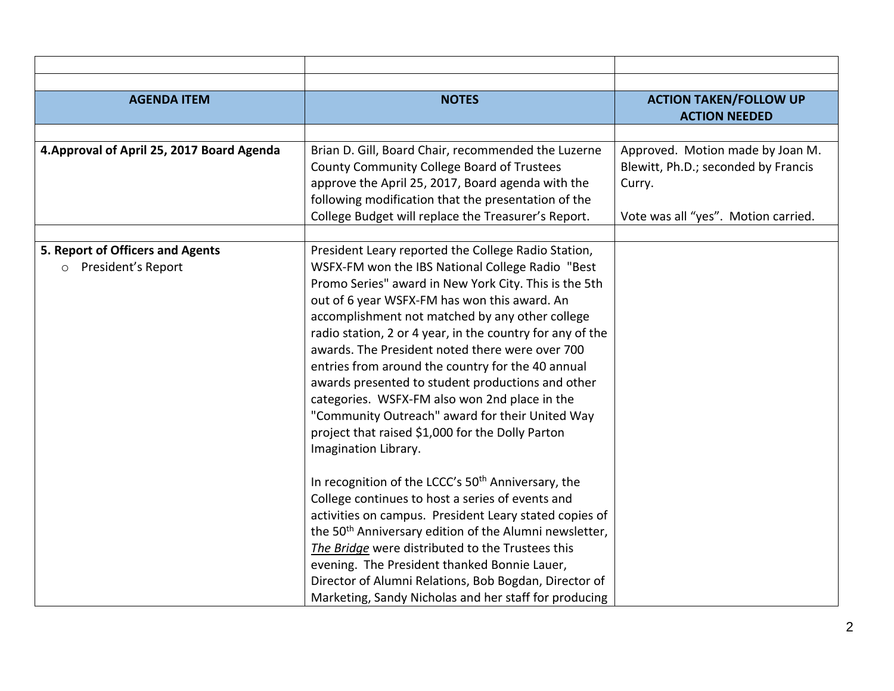| <b>AGENDA ITEM</b>                         | <b>NOTES</b>                                                       | <b>ACTION TAKEN/FOLLOW UP</b>       |
|--------------------------------------------|--------------------------------------------------------------------|-------------------------------------|
|                                            |                                                                    | <b>ACTION NEEDED</b>                |
|                                            |                                                                    |                                     |
| 4. Approval of April 25, 2017 Board Agenda | Brian D. Gill, Board Chair, recommended the Luzerne                | Approved. Motion made by Joan M.    |
|                                            | County Community College Board of Trustees                         | Blewitt, Ph.D.; seconded by Francis |
|                                            | approve the April 25, 2017, Board agenda with the                  | Curry.                              |
|                                            | following modification that the presentation of the                |                                     |
|                                            | College Budget will replace the Treasurer's Report.                | Vote was all "yes". Motion carried. |
|                                            |                                                                    |                                     |
| 5. Report of Officers and Agents           | President Leary reported the College Radio Station,                |                                     |
| o President's Report                       | WSFX-FM won the IBS National College Radio "Best                   |                                     |
|                                            | Promo Series" award in New York City. This is the 5th              |                                     |
|                                            | out of 6 year WSFX-FM has won this award. An                       |                                     |
|                                            | accomplishment not matched by any other college                    |                                     |
|                                            | radio station, 2 or 4 year, in the country for any of the          |                                     |
|                                            | awards. The President noted there were over 700                    |                                     |
|                                            | entries from around the country for the 40 annual                  |                                     |
|                                            | awards presented to student productions and other                  |                                     |
|                                            | categories. WSFX-FM also won 2nd place in the                      |                                     |
|                                            | "Community Outreach" award for their United Way                    |                                     |
|                                            | project that raised \$1,000 for the Dolly Parton                   |                                     |
|                                            | Imagination Library.                                               |                                     |
|                                            |                                                                    |                                     |
|                                            | In recognition of the LCCC's 50 <sup>th</sup> Anniversary, the     |                                     |
|                                            | College continues to host a series of events and                   |                                     |
|                                            | activities on campus. President Leary stated copies of             |                                     |
|                                            | the 50 <sup>th</sup> Anniversary edition of the Alumni newsletter, |                                     |
|                                            | The Bridge were distributed to the Trustees this                   |                                     |
|                                            | evening. The President thanked Bonnie Lauer,                       |                                     |
|                                            | Director of Alumni Relations, Bob Bogdan, Director of              |                                     |
|                                            | Marketing, Sandy Nicholas and her staff for producing              |                                     |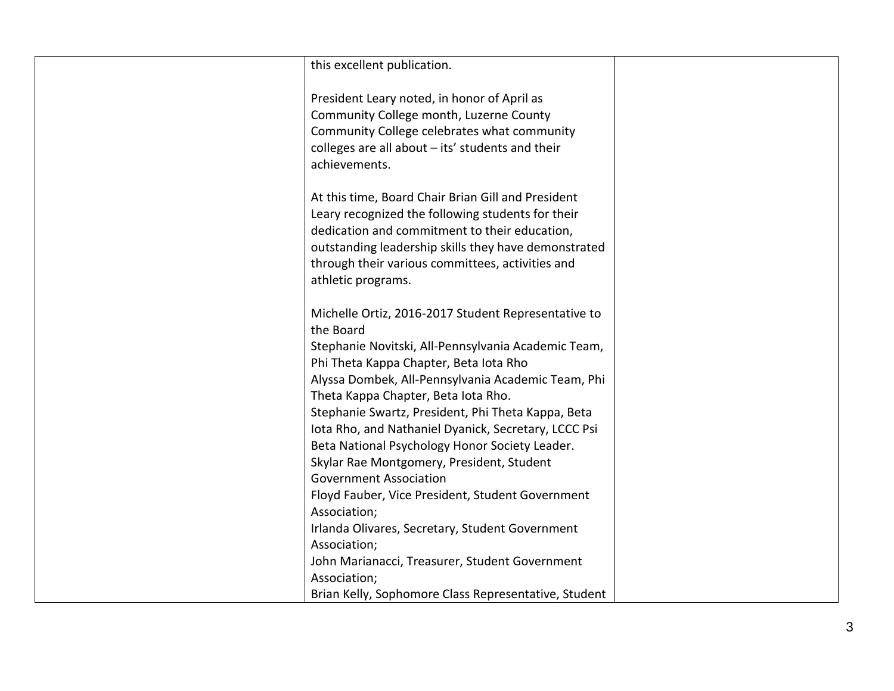| this excellent publication.                          |  |
|------------------------------------------------------|--|
| President Leary noted, in honor of April as          |  |
| Community College month, Luzerne County              |  |
| Community College celebrates what community          |  |
| colleges are all about - its' students and their     |  |
| achievements.                                        |  |
|                                                      |  |
| At this time, Board Chair Brian Gill and President   |  |
| Leary recognized the following students for their    |  |
| dedication and commitment to their education,        |  |
| outstanding leadership skills they have demonstrated |  |
| through their various committees, activities and     |  |
| athletic programs.                                   |  |
|                                                      |  |
| Michelle Ortiz, 2016-2017 Student Representative to  |  |
| the Board                                            |  |
| Stephanie Novitski, All-Pennsylvania Academic Team,  |  |
| Phi Theta Kappa Chapter, Beta lota Rho               |  |
| Alyssa Dombek, All-Pennsylvania Academic Team, Phi   |  |
| Theta Kappa Chapter, Beta lota Rho.                  |  |
| Stephanie Swartz, President, Phi Theta Kappa, Beta   |  |
| Iota Rho, and Nathaniel Dyanick, Secretary, LCCC Psi |  |
| Beta National Psychology Honor Society Leader.       |  |
| Skylar Rae Montgomery, President, Student            |  |
| <b>Government Association</b>                        |  |
| Floyd Fauber, Vice President, Student Government     |  |
| Association;                                         |  |
| Irlanda Olivares, Secretary, Student Government      |  |
| Association;                                         |  |
| John Marianacci, Treasurer, Student Government       |  |
| Association;                                         |  |
| Brian Kelly, Sophomore Class Representative, Student |  |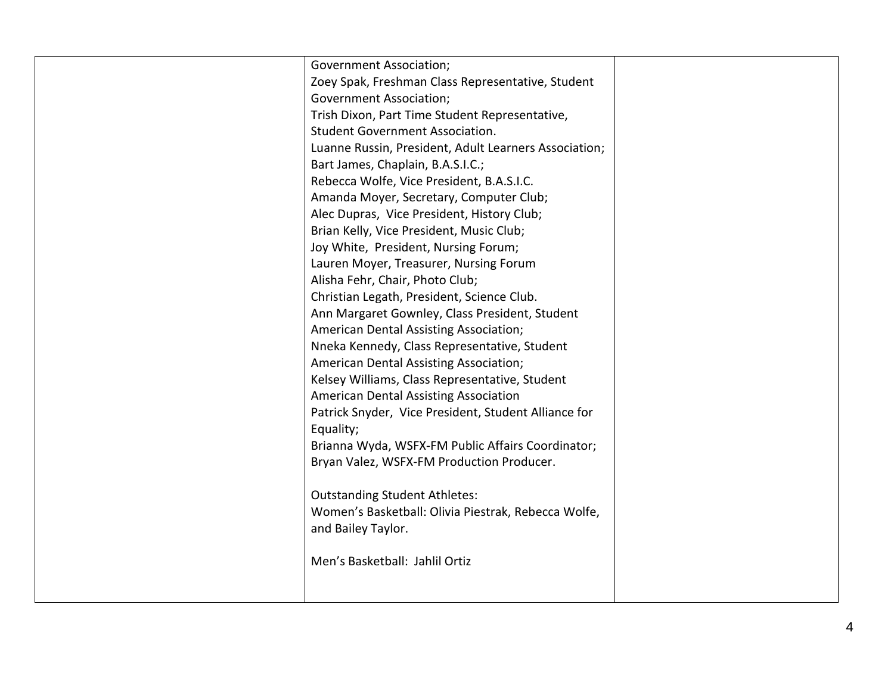| <b>Government Association;</b><br>Zoey Spak, Freshman Class Representative, Student<br><b>Government Association;</b><br>Trish Dixon, Part Time Student Representative,<br><b>Student Government Association.</b><br>Luanne Russin, President, Adult Learners Association;<br>Bart James, Chaplain, B.A.S.I.C.;<br>Rebecca Wolfe, Vice President, B.A.S.I.C.<br>Amanda Moyer, Secretary, Computer Club;<br>Alec Dupras, Vice President, History Club;<br>Brian Kelly, Vice President, Music Club; |  |
|---------------------------------------------------------------------------------------------------------------------------------------------------------------------------------------------------------------------------------------------------------------------------------------------------------------------------------------------------------------------------------------------------------------------------------------------------------------------------------------------------|--|
| Nneka Kennedy, Class Representative, Student<br>American Dental Assisting Association;                                                                                                                                                                                                                                                                                                                                                                                                            |  |
| Kelsey Williams, Class Representative, Student<br>American Dental Assisting Association                                                                                                                                                                                                                                                                                                                                                                                                           |  |
| Patrick Snyder, Vice President, Student Alliance for<br>Equality;                                                                                                                                                                                                                                                                                                                                                                                                                                 |  |
| Brianna Wyda, WSFX-FM Public Affairs Coordinator;<br>Bryan Valez, WSFX-FM Production Producer.                                                                                                                                                                                                                                                                                                                                                                                                    |  |
| <b>Outstanding Student Athletes:</b>                                                                                                                                                                                                                                                                                                                                                                                                                                                              |  |
| Women's Basketball: Olivia Piestrak, Rebecca Wolfe,<br>and Bailey Taylor.                                                                                                                                                                                                                                                                                                                                                                                                                         |  |
| Men's Basketball: Jahlil Ortiz                                                                                                                                                                                                                                                                                                                                                                                                                                                                    |  |
|                                                                                                                                                                                                                                                                                                                                                                                                                                                                                                   |  |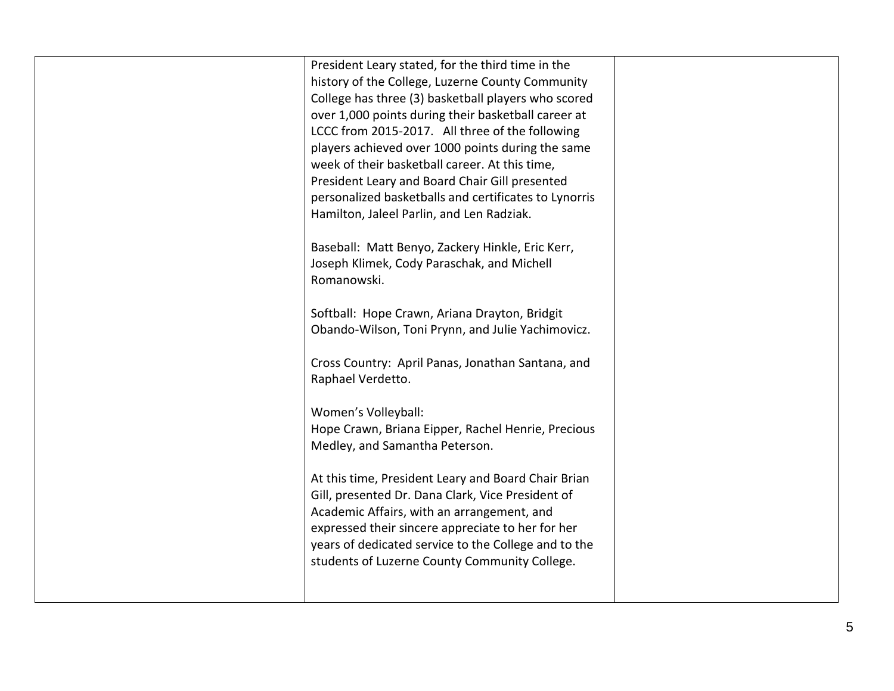| President Leary stated, for the third time in the<br>history of the College, Luzerne County Community |  |
|-------------------------------------------------------------------------------------------------------|--|
| College has three (3) basketball players who scored                                                   |  |
| over 1,000 points during their basketball career at                                                   |  |
| LCCC from 2015-2017. All three of the following                                                       |  |
| players achieved over 1000 points during the same                                                     |  |
| week of their basketball career. At this time,                                                        |  |
| President Leary and Board Chair Gill presented                                                        |  |
| personalized basketballs and certificates to Lynorris                                                 |  |
| Hamilton, Jaleel Parlin, and Len Radziak.                                                             |  |
|                                                                                                       |  |
| Baseball: Matt Benyo, Zackery Hinkle, Eric Kerr,                                                      |  |
| Joseph Klimek, Cody Paraschak, and Michell                                                            |  |
| Romanowski.                                                                                           |  |
|                                                                                                       |  |
| Softball: Hope Crawn, Ariana Drayton, Bridgit                                                         |  |
| Obando-Wilson, Toni Prynn, and Julie Yachimovicz.                                                     |  |
|                                                                                                       |  |
| Cross Country: April Panas, Jonathan Santana, and                                                     |  |
| Raphael Verdetto.                                                                                     |  |
|                                                                                                       |  |
| Women's Volleyball:                                                                                   |  |
| Hope Crawn, Briana Eipper, Rachel Henrie, Precious                                                    |  |
| Medley, and Samantha Peterson.                                                                        |  |
|                                                                                                       |  |
| At this time, President Leary and Board Chair Brian                                                   |  |
| Gill, presented Dr. Dana Clark, Vice President of                                                     |  |
| Academic Affairs, with an arrangement, and                                                            |  |
| expressed their sincere appreciate to her for her                                                     |  |
| years of dedicated service to the College and to the<br>students of Luzerne County Community College. |  |
|                                                                                                       |  |
|                                                                                                       |  |
|                                                                                                       |  |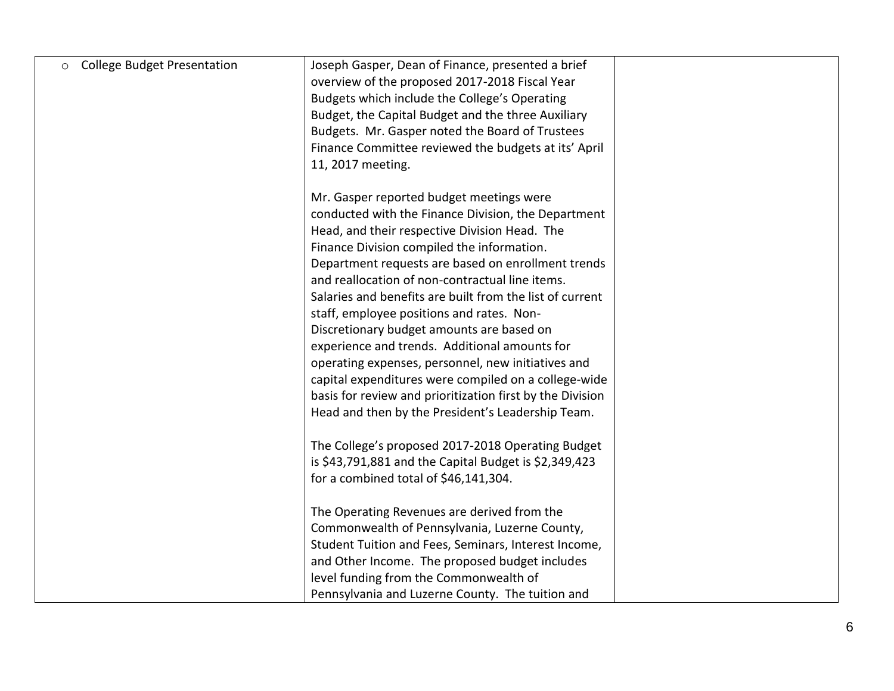| <b>College Budget Presentation</b> | Joseph Gasper, Dean of Finance, presented a brief<br>overview of the proposed 2017-2018 Fiscal Year<br>Budgets which include the College's Operating<br>Budget, the Capital Budget and the three Auxiliary<br>Budgets. Mr. Gasper noted the Board of Trustees<br>Finance Committee reviewed the budgets at its' April<br>11, 2017 meeting.                                                                                                                                                                                                                                                                                                                                                                                                     |  |
|------------------------------------|------------------------------------------------------------------------------------------------------------------------------------------------------------------------------------------------------------------------------------------------------------------------------------------------------------------------------------------------------------------------------------------------------------------------------------------------------------------------------------------------------------------------------------------------------------------------------------------------------------------------------------------------------------------------------------------------------------------------------------------------|--|
|                                    | Mr. Gasper reported budget meetings were<br>conducted with the Finance Division, the Department<br>Head, and their respective Division Head. The<br>Finance Division compiled the information.<br>Department requests are based on enrollment trends<br>and reallocation of non-contractual line items.<br>Salaries and benefits are built from the list of current<br>staff, employee positions and rates. Non-<br>Discretionary budget amounts are based on<br>experience and trends. Additional amounts for<br>operating expenses, personnel, new initiatives and<br>capital expenditures were compiled on a college-wide<br>basis for review and prioritization first by the Division<br>Head and then by the President's Leadership Team. |  |
|                                    | The College's proposed 2017-2018 Operating Budget<br>is \$43,791,881 and the Capital Budget is \$2,349,423<br>for a combined total of \$46,141,304.<br>The Operating Revenues are derived from the<br>Commonwealth of Pennsylvania, Luzerne County,<br>Student Tuition and Fees, Seminars, Interest Income,<br>and Other Income. The proposed budget includes                                                                                                                                                                                                                                                                                                                                                                                  |  |
|                                    | level funding from the Commonwealth of<br>Pennsylvania and Luzerne County. The tuition and                                                                                                                                                                                                                                                                                                                                                                                                                                                                                                                                                                                                                                                     |  |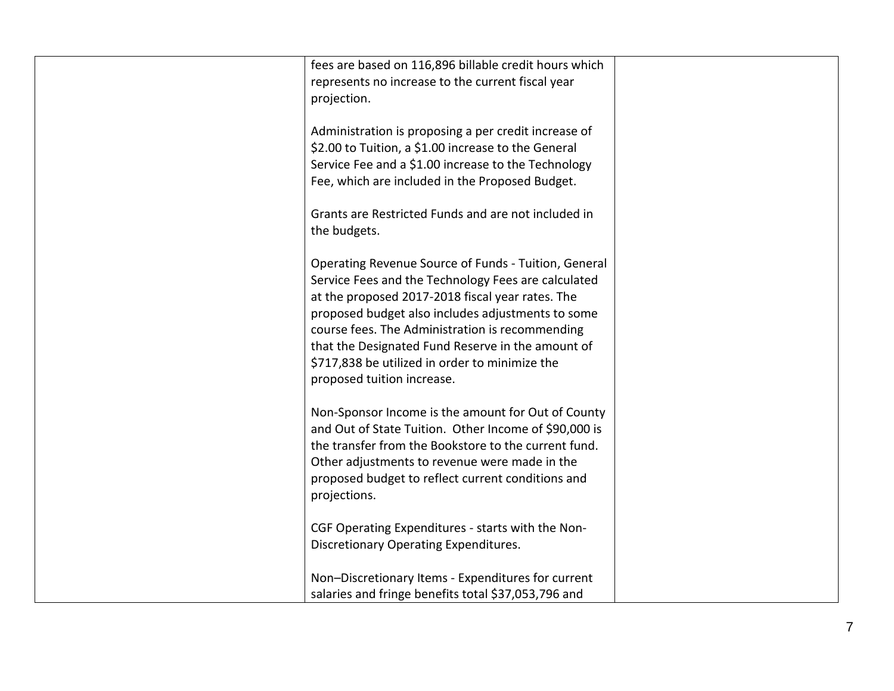| fees are based on 116,896 billable credit hours which<br>represents no increase to the current fiscal year<br>projection.                                                                                                                                                                                                                                                                                    |  |
|--------------------------------------------------------------------------------------------------------------------------------------------------------------------------------------------------------------------------------------------------------------------------------------------------------------------------------------------------------------------------------------------------------------|--|
| Administration is proposing a per credit increase of<br>\$2.00 to Tuition, a \$1.00 increase to the General<br>Service Fee and a \$1.00 increase to the Technology<br>Fee, which are included in the Proposed Budget.                                                                                                                                                                                        |  |
| Grants are Restricted Funds and are not included in<br>the budgets.                                                                                                                                                                                                                                                                                                                                          |  |
| Operating Revenue Source of Funds - Tuition, General<br>Service Fees and the Technology Fees are calculated<br>at the proposed 2017-2018 fiscal year rates. The<br>proposed budget also includes adjustments to some<br>course fees. The Administration is recommending<br>that the Designated Fund Reserve in the amount of<br>\$717,838 be utilized in order to minimize the<br>proposed tuition increase. |  |
| Non-Sponsor Income is the amount for Out of County<br>and Out of State Tuition. Other Income of \$90,000 is<br>the transfer from the Bookstore to the current fund.<br>Other adjustments to revenue were made in the<br>proposed budget to reflect current conditions and<br>projections.                                                                                                                    |  |
| CGF Operating Expenditures - starts with the Non-<br>Discretionary Operating Expenditures.                                                                                                                                                                                                                                                                                                                   |  |
| Non-Discretionary Items - Expenditures for current<br>salaries and fringe benefits total \$37,053,796 and                                                                                                                                                                                                                                                                                                    |  |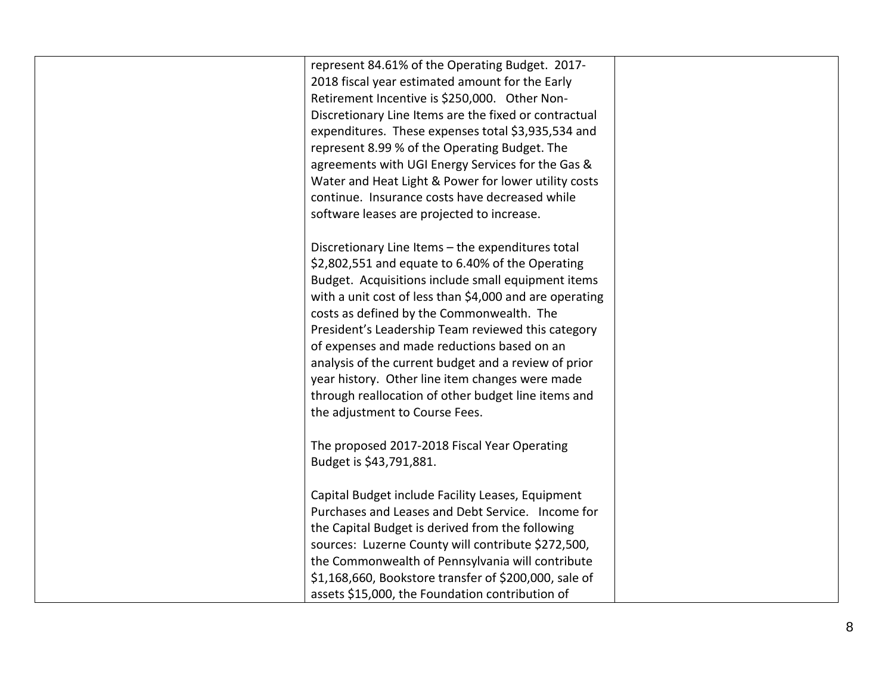| represent 84.61% of the Operating Budget. 2017-         |  |
|---------------------------------------------------------|--|
| 2018 fiscal year estimated amount for the Early         |  |
| Retirement Incentive is \$250,000. Other Non-           |  |
| Discretionary Line Items are the fixed or contractual   |  |
| expenditures. These expenses total \$3,935,534 and      |  |
| represent 8.99 % of the Operating Budget. The           |  |
| agreements with UGI Energy Services for the Gas &       |  |
| Water and Heat Light & Power for lower utility costs    |  |
| continue. Insurance costs have decreased while          |  |
| software leases are projected to increase.              |  |
|                                                         |  |
| Discretionary Line Items - the expenditures total       |  |
| \$2,802,551 and equate to 6.40% of the Operating        |  |
| Budget. Acquisitions include small equipment items      |  |
| with a unit cost of less than \$4,000 and are operating |  |
| costs as defined by the Commonwealth. The               |  |
| President's Leadership Team reviewed this category      |  |
| of expenses and made reductions based on an             |  |
| analysis of the current budget and a review of prior    |  |
| year history. Other line item changes were made         |  |
| through reallocation of other budget line items and     |  |
| the adjustment to Course Fees.                          |  |
|                                                         |  |
| The proposed 2017-2018 Fiscal Year Operating            |  |
| Budget is \$43,791,881.                                 |  |
|                                                         |  |
| Capital Budget include Facility Leases, Equipment       |  |
| Purchases and Leases and Debt Service. Income for       |  |
|                                                         |  |
| the Capital Budget is derived from the following        |  |
| sources: Luzerne County will contribute \$272,500,      |  |
| the Commonwealth of Pennsylvania will contribute        |  |
| \$1,168,660, Bookstore transfer of \$200,000, sale of   |  |
| assets \$15,000, the Foundation contribution of         |  |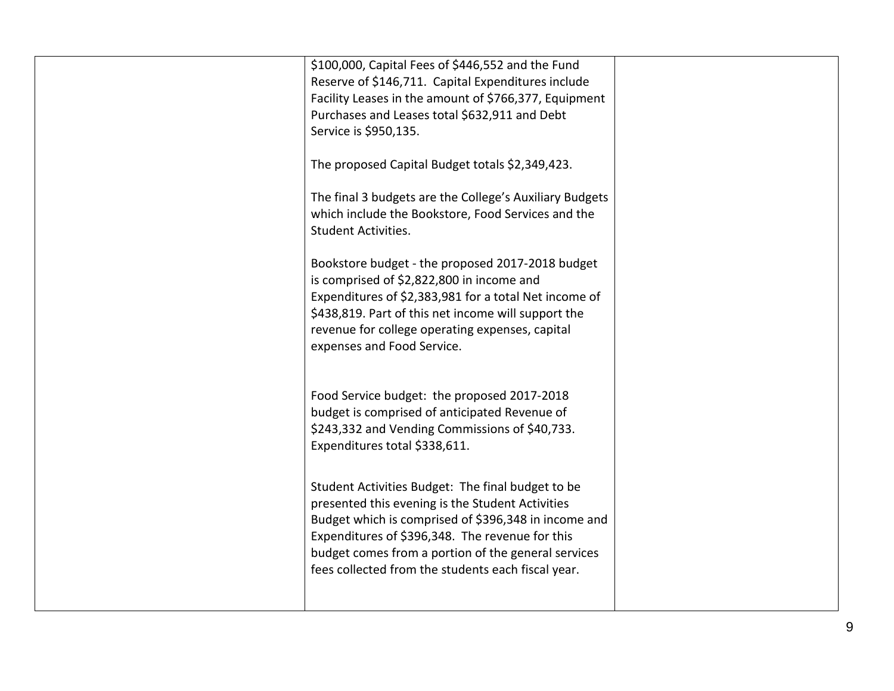| \$100,000, Capital Fees of \$446,552 and the Fund<br>Reserve of \$146,711. Capital Expenditures include<br>Facility Leases in the amount of \$766,377, Equipment<br>Purchases and Leases total \$632,911 and Debt<br>Service is \$950,135.<br>The proposed Capital Budget totals \$2,349,423.<br>The final 3 budgets are the College's Auxiliary Budgets<br>which include the Bookstore, Food Services and the<br><b>Student Activities.</b><br>Bookstore budget - the proposed 2017-2018 budget<br>is comprised of \$2,822,800 in income and<br>Expenditures of \$2,383,981 for a total Net income of<br>\$438,819. Part of this net income will support the<br>revenue for college operating expenses, capital<br>expenses and Food Service. |  |
|------------------------------------------------------------------------------------------------------------------------------------------------------------------------------------------------------------------------------------------------------------------------------------------------------------------------------------------------------------------------------------------------------------------------------------------------------------------------------------------------------------------------------------------------------------------------------------------------------------------------------------------------------------------------------------------------------------------------------------------------|--|
| Food Service budget: the proposed 2017-2018<br>budget is comprised of anticipated Revenue of<br>\$243,332 and Vending Commissions of \$40,733.<br>Expenditures total \$338,611.<br>Student Activities Budget: The final budget to be<br>presented this evening is the Student Activities<br>Budget which is comprised of \$396,348 in income and<br>Expenditures of \$396,348. The revenue for this<br>budget comes from a portion of the general services<br>fees collected from the students each fiscal year.                                                                                                                                                                                                                               |  |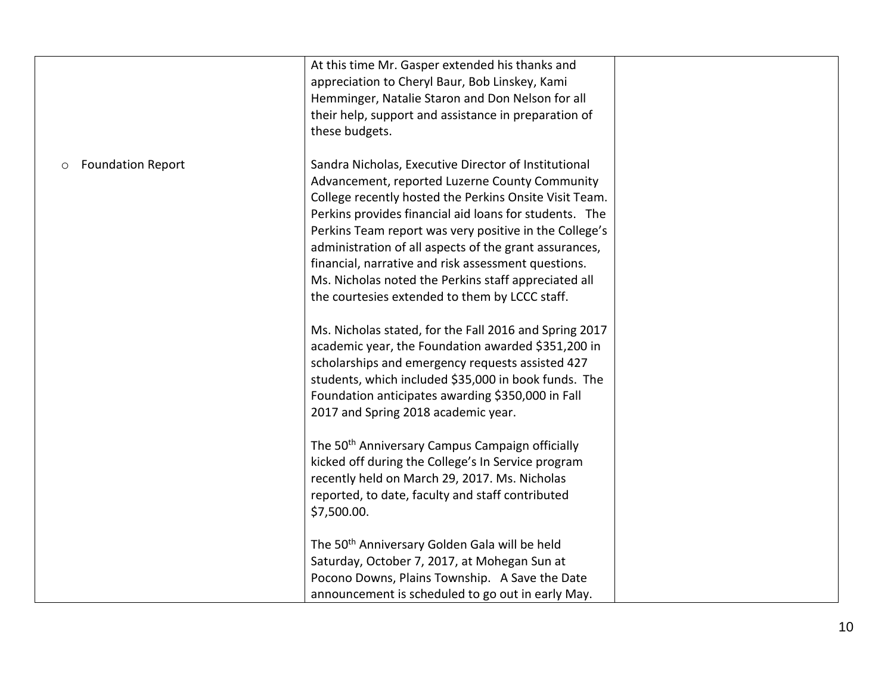|                                     | At this time Mr. Gasper extended his thanks and<br>appreciation to Cheryl Baur, Bob Linskey, Kami<br>Hemminger, Natalie Staron and Don Nelson for all<br>their help, support and assistance in preparation of<br>these budgets.                                                                                                                                                                                                                                                                                                                                                                                                                                                                                                                                                                                                         |  |
|-------------------------------------|-----------------------------------------------------------------------------------------------------------------------------------------------------------------------------------------------------------------------------------------------------------------------------------------------------------------------------------------------------------------------------------------------------------------------------------------------------------------------------------------------------------------------------------------------------------------------------------------------------------------------------------------------------------------------------------------------------------------------------------------------------------------------------------------------------------------------------------------|--|
| <b>Foundation Report</b><br>$\circ$ | Sandra Nicholas, Executive Director of Institutional<br>Advancement, reported Luzerne County Community<br>College recently hosted the Perkins Onsite Visit Team.<br>Perkins provides financial aid loans for students. The<br>Perkins Team report was very positive in the College's<br>administration of all aspects of the grant assurances,<br>financial, narrative and risk assessment questions.<br>Ms. Nicholas noted the Perkins staff appreciated all<br>the courtesies extended to them by LCCC staff.<br>Ms. Nicholas stated, for the Fall 2016 and Spring 2017<br>academic year, the Foundation awarded \$351,200 in<br>scholarships and emergency requests assisted 427<br>students, which included \$35,000 in book funds. The<br>Foundation anticipates awarding \$350,000 in Fall<br>2017 and Spring 2018 academic year. |  |
|                                     | The 50 <sup>th</sup> Anniversary Campus Campaign officially<br>kicked off during the College's In Service program<br>recently held on March 29, 2017. Ms. Nicholas<br>reported, to date, faculty and staff contributed<br>\$7,500.00.<br>The 50 <sup>th</sup> Anniversary Golden Gala will be held<br>Saturday, October 7, 2017, at Mohegan Sun at<br>Pocono Downs, Plains Township. A Save the Date<br>announcement is scheduled to go out in early May.                                                                                                                                                                                                                                                                                                                                                                               |  |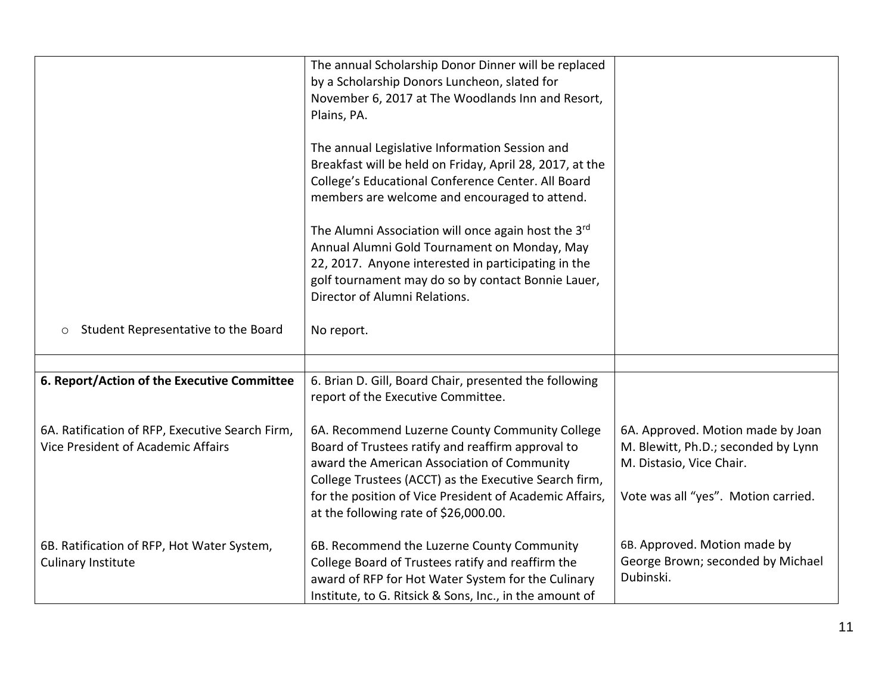|                                                                                       | The annual Scholarship Donor Dinner will be replaced<br>by a Scholarship Donors Luncheon, slated for<br>November 6, 2017 at The Woodlands Inn and Resort,<br>Plains, PA.                                                                                                                                        |                                                                                                                                             |
|---------------------------------------------------------------------------------------|-----------------------------------------------------------------------------------------------------------------------------------------------------------------------------------------------------------------------------------------------------------------------------------------------------------------|---------------------------------------------------------------------------------------------------------------------------------------------|
|                                                                                       | The annual Legislative Information Session and<br>Breakfast will be held on Friday, April 28, 2017, at the<br>College's Educational Conference Center. All Board<br>members are welcome and encouraged to attend.                                                                                               |                                                                                                                                             |
|                                                                                       | The Alumni Association will once again host the 3rd<br>Annual Alumni Gold Tournament on Monday, May<br>22, 2017. Anyone interested in participating in the<br>golf tournament may do so by contact Bonnie Lauer,<br>Director of Alumni Relations.                                                               |                                                                                                                                             |
| Student Representative to the Board                                                   | No report.                                                                                                                                                                                                                                                                                                      |                                                                                                                                             |
|                                                                                       |                                                                                                                                                                                                                                                                                                                 |                                                                                                                                             |
| 6. Report/Action of the Executive Committee                                           | 6. Brian D. Gill, Board Chair, presented the following<br>report of the Executive Committee.                                                                                                                                                                                                                    |                                                                                                                                             |
| 6A. Ratification of RFP, Executive Search Firm,<br>Vice President of Academic Affairs | 6A. Recommend Luzerne County Community College<br>Board of Trustees ratify and reaffirm approval to<br>award the American Association of Community<br>College Trustees (ACCT) as the Executive Search firm,<br>for the position of Vice President of Academic Affairs,<br>at the following rate of \$26,000.00. | 6A. Approved. Motion made by Joan<br>M. Blewitt, Ph.D.; seconded by Lynn<br>M. Distasio, Vice Chair.<br>Vote was all "yes". Motion carried. |
| 6B. Ratification of RFP, Hot Water System,<br>Culinary Institute                      | 6B. Recommend the Luzerne County Community<br>College Board of Trustees ratify and reaffirm the<br>award of RFP for Hot Water System for the Culinary<br>Institute, to G. Ritsick & Sons, Inc., in the amount of                                                                                                | 6B. Approved. Motion made by<br>George Brown; seconded by Michael<br>Dubinski.                                                              |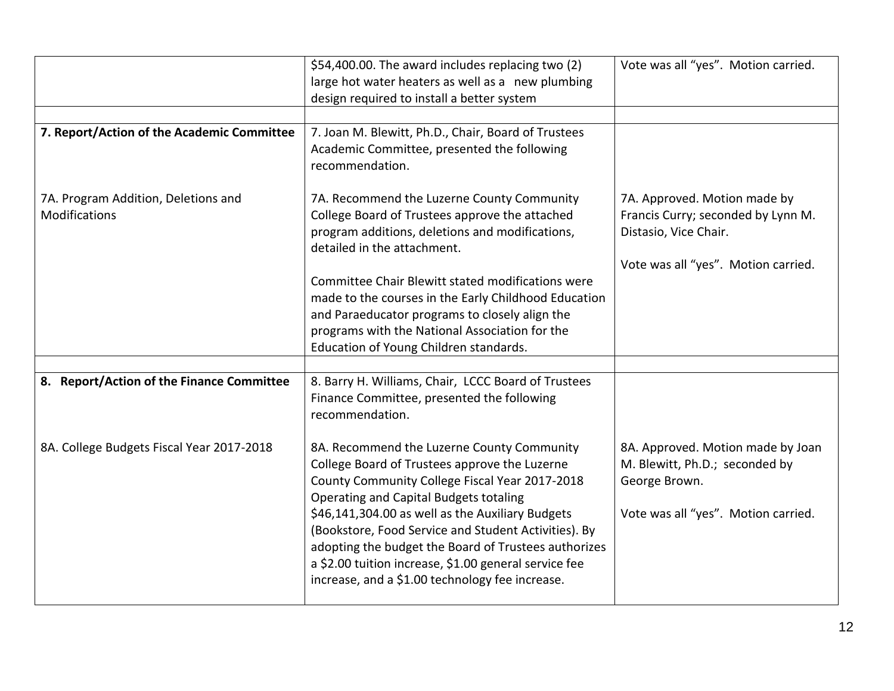| \$54,400.00. The award includes replacing two (2)<br>large hot water heaters as well as a new plumbing<br>design required to install a better system                                                                                                                                                                                                                                                                                                                    | Vote was all "yes". Motion carried.                                                                                                |
|-------------------------------------------------------------------------------------------------------------------------------------------------------------------------------------------------------------------------------------------------------------------------------------------------------------------------------------------------------------------------------------------------------------------------------------------------------------------------|------------------------------------------------------------------------------------------------------------------------------------|
| 7. Joan M. Blewitt, Ph.D., Chair, Board of Trustees<br>Academic Committee, presented the following<br>recommendation.                                                                                                                                                                                                                                                                                                                                                   |                                                                                                                                    |
| 7A. Recommend the Luzerne County Community<br>College Board of Trustees approve the attached<br>program additions, deletions and modifications,<br>detailed in the attachment.                                                                                                                                                                                                                                                                                          | 7A. Approved. Motion made by<br>Francis Curry; seconded by Lynn M.<br>Distasio, Vice Chair.<br>Vote was all "yes". Motion carried. |
| Committee Chair Blewitt stated modifications were<br>made to the courses in the Early Childhood Education<br>and Paraeducator programs to closely align the<br>programs with the National Association for the<br>Education of Young Children standards.                                                                                                                                                                                                                 |                                                                                                                                    |
| 8. Barry H. Williams, Chair, LCCC Board of Trustees<br>Finance Committee, presented the following<br>recommendation.                                                                                                                                                                                                                                                                                                                                                    |                                                                                                                                    |
| 8A. Recommend the Luzerne County Community<br>College Board of Trustees approve the Luzerne<br>County Community College Fiscal Year 2017-2018<br>Operating and Capital Budgets totaling<br>\$46,141,304.00 as well as the Auxiliary Budgets<br>(Bookstore, Food Service and Student Activities). By<br>adopting the budget the Board of Trustees authorizes<br>a \$2.00 tuition increase, \$1.00 general service fee<br>increase, and a \$1.00 technology fee increase. | 8A. Approved. Motion made by Joan<br>M. Blewitt, Ph.D.; seconded by<br>George Brown.<br>Vote was all "yes". Motion carried.        |
|                                                                                                                                                                                                                                                                                                                                                                                                                                                                         |                                                                                                                                    |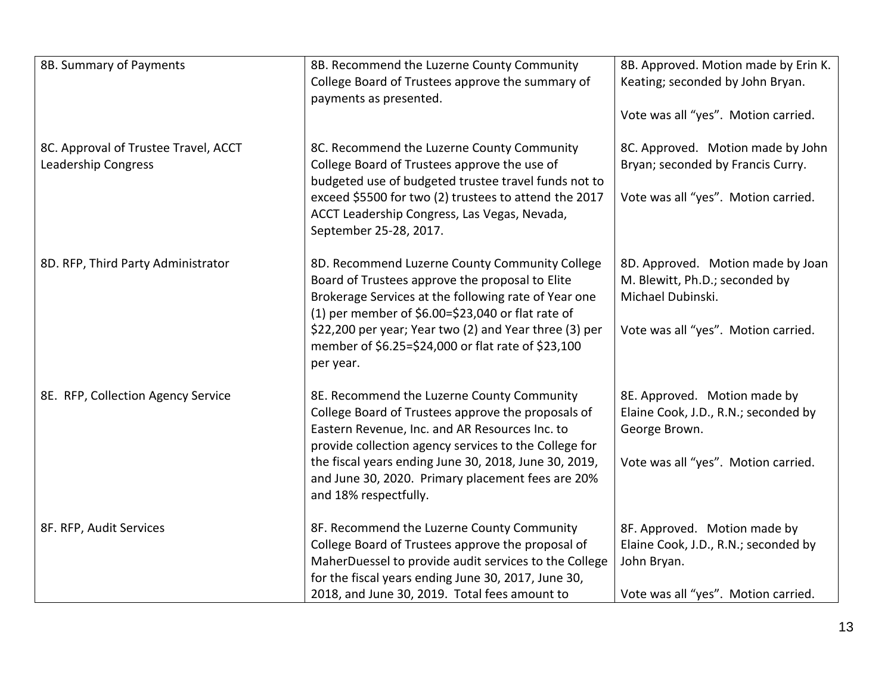| 8B. Summary of Payments                                     | 8B. Recommend the Luzerne County Community<br>College Board of Trustees approve the summary of<br>payments as presented.                                                                                                                                                                                                                           | 8B. Approved. Motion made by Erin K.<br>Keating; seconded by John Bryan.<br>Vote was all "yes". Motion carried.                 |
|-------------------------------------------------------------|----------------------------------------------------------------------------------------------------------------------------------------------------------------------------------------------------------------------------------------------------------------------------------------------------------------------------------------------------|---------------------------------------------------------------------------------------------------------------------------------|
| 8C. Approval of Trustee Travel, ACCT<br>Leadership Congress | 8C. Recommend the Luzerne County Community<br>College Board of Trustees approve the use of<br>budgeted use of budgeted trustee travel funds not to<br>exceed \$5500 for two (2) trustees to attend the 2017<br>ACCT Leadership Congress, Las Vegas, Nevada,<br>September 25-28, 2017.                                                              | 8C. Approved. Motion made by John<br>Bryan; seconded by Francis Curry.<br>Vote was all "yes". Motion carried.                   |
| 8D. RFP, Third Party Administrator                          | 8D. Recommend Luzerne County Community College<br>Board of Trustees approve the proposal to Elite<br>Brokerage Services at the following rate of Year one<br>(1) per member of $$6.00 = $23,040$ or flat rate of<br>\$22,200 per year; Year two (2) and Year three (3) per<br>member of \$6.25=\$24,000 or flat rate of \$23,100<br>per year.      | 8D. Approved. Motion made by Joan<br>M. Blewitt, Ph.D.; seconded by<br>Michael Dubinski.<br>Vote was all "yes". Motion carried. |
| 8E. RFP, Collection Agency Service                          | 8E. Recommend the Luzerne County Community<br>College Board of Trustees approve the proposals of<br>Eastern Revenue, Inc. and AR Resources Inc. to<br>provide collection agency services to the College for<br>the fiscal years ending June 30, 2018, June 30, 2019,<br>and June 30, 2020. Primary placement fees are 20%<br>and 18% respectfully. | 8E. Approved. Motion made by<br>Elaine Cook, J.D., R.N.; seconded by<br>George Brown.<br>Vote was all "yes". Motion carried.    |
| 8F. RFP, Audit Services                                     | 8F. Recommend the Luzerne County Community<br>College Board of Trustees approve the proposal of<br>MaherDuessel to provide audit services to the College<br>for the fiscal years ending June 30, 2017, June 30,<br>2018, and June 30, 2019. Total fees amount to                                                                                   | 8F. Approved. Motion made by<br>Elaine Cook, J.D., R.N.; seconded by<br>John Bryan.<br>Vote was all "yes". Motion carried.      |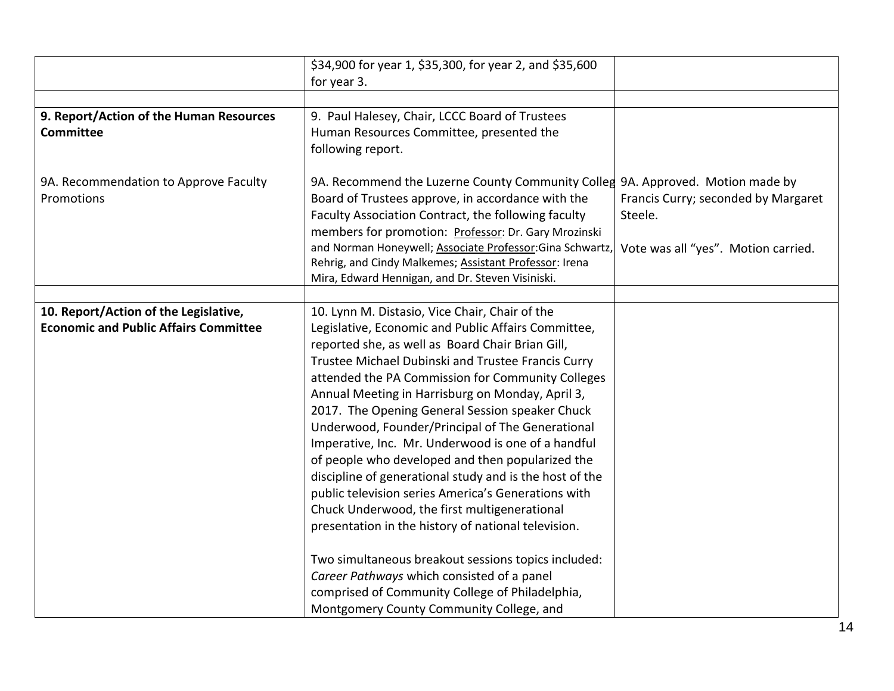|                                              | \$34,900 for year 1, \$35,300, for year 2, and \$35,600   |                                     |
|----------------------------------------------|-----------------------------------------------------------|-------------------------------------|
|                                              | for year 3.                                               |                                     |
|                                              |                                                           |                                     |
| 9. Report/Action of the Human Resources      | 9. Paul Halesey, Chair, LCCC Board of Trustees            |                                     |
| <b>Committee</b>                             | Human Resources Committee, presented the                  |                                     |
|                                              | following report.                                         |                                     |
|                                              |                                                           |                                     |
| 9A. Recommendation to Approve Faculty        | 9A. Recommend the Luzerne County Community Colleg         | 9A. Approved. Motion made by        |
| Promotions                                   | Board of Trustees approve, in accordance with the         | Francis Curry; seconded by Margaret |
|                                              | Faculty Association Contract, the following faculty       | Steele.                             |
|                                              | members for promotion: Professor: Dr. Gary Mrozinski      |                                     |
|                                              | and Norman Honeywell; Associate Professor: Gina Schwartz, | Vote was all "yes". Motion carried. |
|                                              | Rehrig, and Cindy Malkemes; Assistant Professor: Irena    |                                     |
|                                              | Mira, Edward Hennigan, and Dr. Steven Visiniski.          |                                     |
| 10. Report/Action of the Legislative,        | 10. Lynn M. Distasio, Vice Chair, Chair of the            |                                     |
| <b>Economic and Public Affairs Committee</b> | Legislative, Economic and Public Affairs Committee,       |                                     |
|                                              | reported she, as well as Board Chair Brian Gill,          |                                     |
|                                              | Trustee Michael Dubinski and Trustee Francis Curry        |                                     |
|                                              | attended the PA Commission for Community Colleges         |                                     |
|                                              | Annual Meeting in Harrisburg on Monday, April 3,          |                                     |
|                                              | 2017. The Opening General Session speaker Chuck           |                                     |
|                                              | Underwood, Founder/Principal of The Generational          |                                     |
|                                              | Imperative, Inc. Mr. Underwood is one of a handful        |                                     |
|                                              | of people who developed and then popularized the          |                                     |
|                                              | discipline of generational study and is the host of the   |                                     |
|                                              | public television series America's Generations with       |                                     |
|                                              | Chuck Underwood, the first multigenerational              |                                     |
|                                              | presentation in the history of national television.       |                                     |
|                                              |                                                           |                                     |
|                                              | Two simultaneous breakout sessions topics included:       |                                     |
|                                              | Career Pathways which consisted of a panel                |                                     |
|                                              | comprised of Community College of Philadelphia,           |                                     |
|                                              | Montgomery County Community College, and                  |                                     |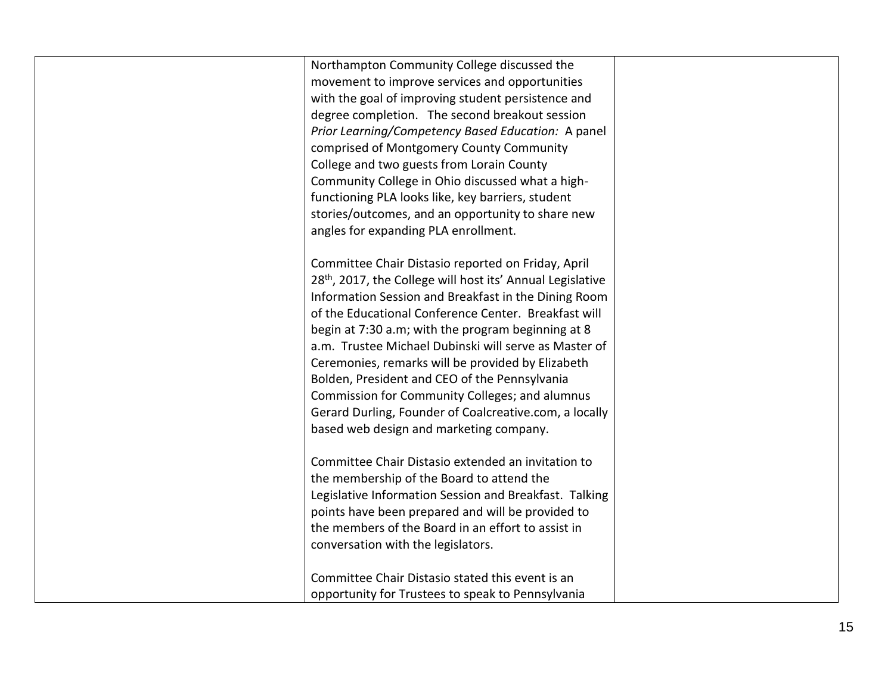| Northampton Community College discussed the                            |  |
|------------------------------------------------------------------------|--|
| movement to improve services and opportunities                         |  |
| with the goal of improving student persistence and                     |  |
| degree completion. The second breakout session                         |  |
| Prior Learning/Competency Based Education: A panel                     |  |
| comprised of Montgomery County Community                               |  |
| College and two guests from Lorain County                              |  |
| Community College in Ohio discussed what a high-                       |  |
| functioning PLA looks like, key barriers, student                      |  |
| stories/outcomes, and an opportunity to share new                      |  |
| angles for expanding PLA enrollment.                                   |  |
|                                                                        |  |
| Committee Chair Distasio reported on Friday, April                     |  |
| 28 <sup>th</sup> , 2017, the College will host its' Annual Legislative |  |
| Information Session and Breakfast in the Dining Room                   |  |
| of the Educational Conference Center. Breakfast will                   |  |
| begin at 7:30 a.m; with the program beginning at 8                     |  |
|                                                                        |  |
| a.m. Trustee Michael Dubinski will serve as Master of                  |  |
| Ceremonies, remarks will be provided by Elizabeth                      |  |
| Bolden, President and CEO of the Pennsylvania                          |  |
| Commission for Community Colleges; and alumnus                         |  |
| Gerard Durling, Founder of Coalcreative.com, a locally                 |  |
| based web design and marketing company.                                |  |
|                                                                        |  |
| Committee Chair Distasio extended an invitation to                     |  |
| the membership of the Board to attend the                              |  |
| Legislative Information Session and Breakfast. Talking                 |  |
| points have been prepared and will be provided to                      |  |
| the members of the Board in an effort to assist in                     |  |
| conversation with the legislators.                                     |  |
|                                                                        |  |
| Committee Chair Distasio stated this event is an                       |  |
| opportunity for Trustees to speak to Pennsylvania                      |  |
|                                                                        |  |